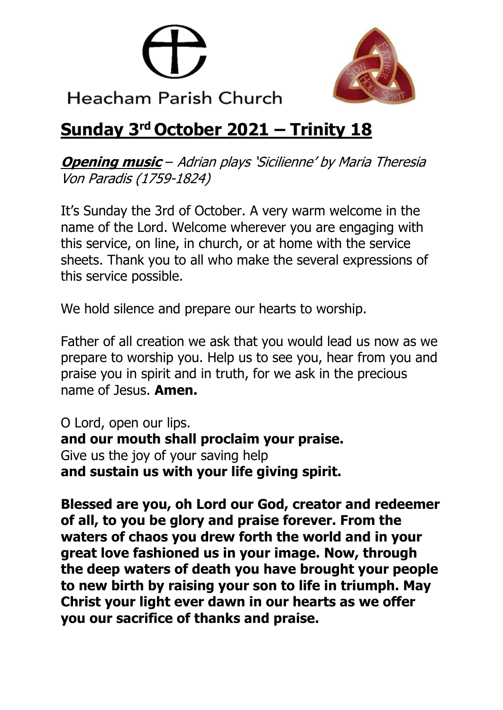



**Heacham Parish Church** 

# **Sunday 3 rd October 2021 – Trinity 18**

**Opening music** – Adrian plays 'Sicilienne' by Maria Theresia Von Paradis (1759-1824)

It's Sunday the 3rd of October. A very warm welcome in the name of the Lord. Welcome wherever you are engaging with this service, on line, in church, or at home with the service sheets. Thank you to all who make the several expressions of this service possible.

We hold silence and prepare our hearts to worship.

Father of all creation we ask that you would lead us now as we prepare to worship you. Help us to see you, hear from you and praise you in spirit and in truth, for we ask in the precious name of Jesus. **Amen.** 

O Lord, open our lips. **and our mouth shall proclaim your praise.** Give us the joy of your saving help **and sustain us with your life giving spirit.**

**Blessed are you, oh Lord our God, creator and redeemer of all, to you be glory and praise forever. From the waters of chaos you drew forth the world and in your great love fashioned us in your image. Now, through the deep waters of death you have brought your people to new birth by raising your son to life in triumph. May Christ your light ever dawn in our hearts as we offer you our sacrifice of thanks and praise.**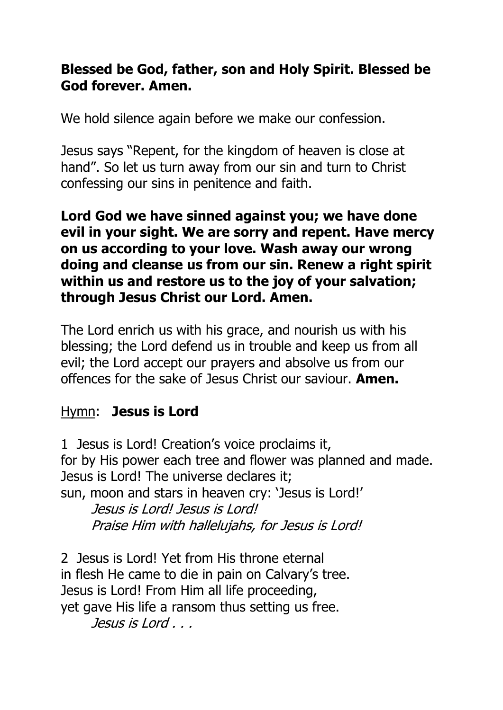# **Blessed be God, father, son and Holy Spirit. Blessed be God forever. Amen.**

We hold silence again before we make our confession.

Jesus says "Repent, for the kingdom of heaven is close at hand". So let us turn away from our sin and turn to Christ confessing our sins in penitence and faith.

**Lord God we have sinned against you; we have done evil in your sight. We are sorry and repent. Have mercy on us according to your love. Wash away our wrong doing and cleanse us from our sin. Renew a right spirit within us and restore us to the joy of your salvation; through Jesus Christ our Lord. Amen.**

The Lord enrich us with his grace, and nourish us with his blessing; the Lord defend us in trouble and keep us from all evil; the Lord accept our prayers and absolve us from our offences for the sake of Jesus Christ our saviour. **Amen.**

# Hymn: **Jesus is Lord**

1 Jesus is Lord! Creation's voice proclaims it, for by His power each tree and flower was planned and made. Jesus is Lord! The universe declares it; sun, moon and stars in heaven cry: 'Jesus is Lord!'

Jesus is Lord! Jesus is Lord! Praise Him with hallelujahs, for Jesus is Lord!

2 Jesus is Lord! Yet from His throne eternal in flesh He came to die in pain on Calvary's tree. Jesus is Lord! From Him all life proceeding, yet gave His life a ransom thus setting us free.

Jesus is Lord . . . .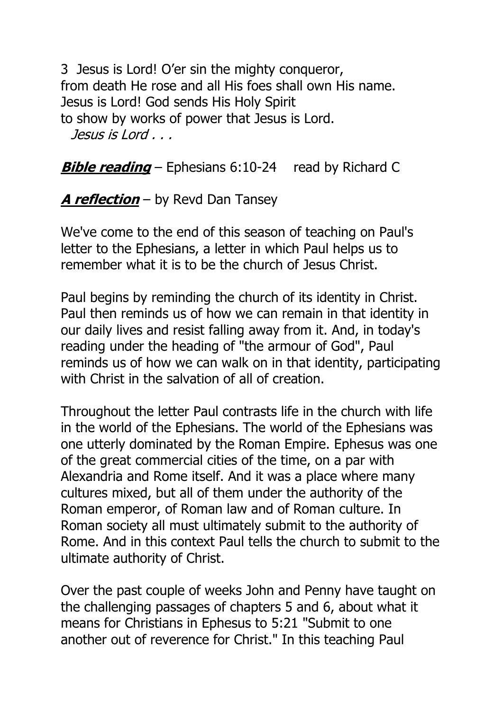3 Jesus is Lord! O'er sin the mighty conqueror, from death He rose and all His foes shall own His name. Jesus is Lord! God sends His Holy Spirit to show by works of power that Jesus is Lord. Jesus is Lord . . .

**Bible reading** – Ephesians 6:10-24 read by Richard C

**A reflection** – by Revd Dan Tansey

We've come to the end of this season of teaching on Paul's letter to the Ephesians, a letter in which Paul helps us to remember what it is to be the church of Jesus Christ.

Paul begins by reminding the church of its identity in Christ. Paul then reminds us of how we can remain in that identity in our daily lives and resist falling away from it. And, in today's reading under the heading of "the armour of God", Paul reminds us of how we can walk on in that identity, participating with Christ in the salvation of all of creation.

Throughout the letter Paul contrasts life in the church with life in the world of the Ephesians. The world of the Ephesians was one utterly dominated by the Roman Empire. Ephesus was one of the great commercial cities of the time, on a par with Alexandria and Rome itself. And it was a place where many cultures mixed, but all of them under the authority of the Roman emperor, of Roman law and of Roman culture. In Roman society all must ultimately submit to the authority of Rome. And in this context Paul tells the church to submit to the ultimate authority of Christ.

Over the past couple of weeks John and Penny have taught on the challenging passages of chapters 5 and 6, about what it means for Christians in Ephesus to 5:21 "Submit to one another out of reverence for Christ." In this teaching Paul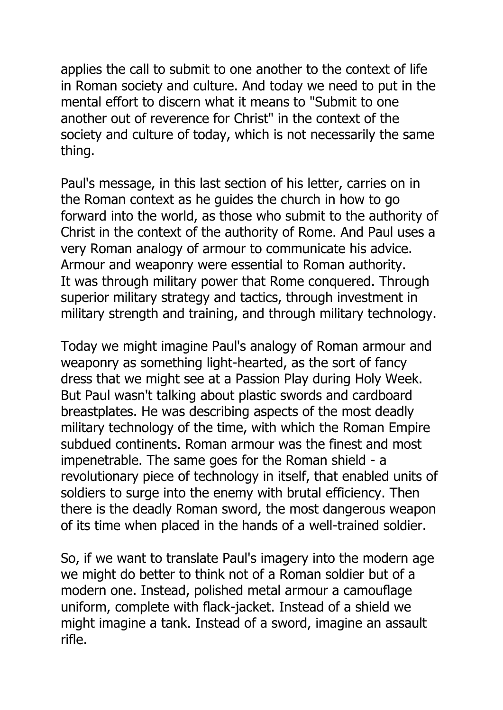applies the call to submit to one another to the context of life in Roman society and culture. And today we need to put in the mental effort to discern what it means to "Submit to one another out of reverence for Christ" in the context of the society and culture of today, which is not necessarily the same thing.

Paul's message, in this last section of his letter, carries on in the Roman context as he guides the church in how to go forward into the world, as those who submit to the authority of Christ in the context of the authority of Rome. And Paul uses a very Roman analogy of armour to communicate his advice. Armour and weaponry were essential to Roman authority. It was through military power that Rome conquered. Through superior military strategy and tactics, through investment in military strength and training, and through military technology.

Today we might imagine Paul's analogy of Roman armour and weaponry as something light-hearted, as the sort of fancy dress that we might see at a Passion Play during Holy Week. But Paul wasn't talking about plastic swords and cardboard breastplates. He was describing aspects of the most deadly military technology of the time, with which the Roman Empire subdued continents. Roman armour was the finest and most impenetrable. The same goes for the Roman shield - a revolutionary piece of technology in itself, that enabled units of soldiers to surge into the enemy with brutal efficiency. Then there is the deadly Roman sword, the most dangerous weapon of its time when placed in the hands of a well-trained soldier.

So, if we want to translate Paul's imagery into the modern age we might do better to think not of a Roman soldier but of a modern one. Instead, polished metal armour a camouflage uniform, complete with flack-jacket. Instead of a shield we might imagine a tank. Instead of a sword, imagine an assault rifle.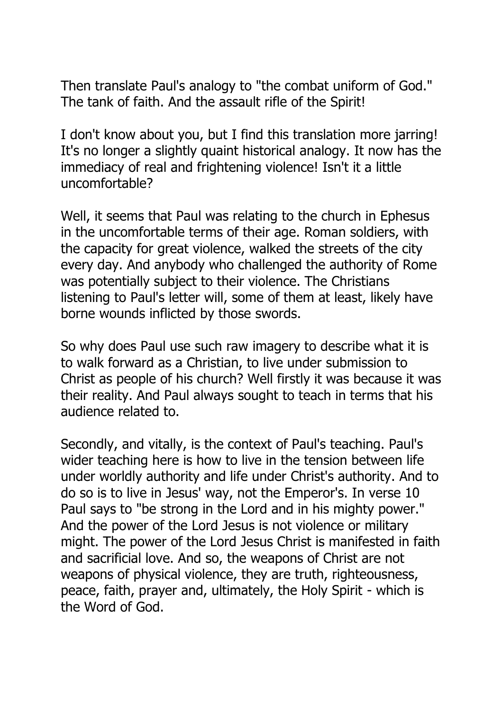Then translate Paul's analogy to "the combat uniform of God." The tank of faith. And the assault rifle of the Spirit!

I don't know about you, but I find this translation more jarring! It's no longer a slightly quaint historical analogy. It now has the immediacy of real and frightening violence! Isn't it a little uncomfortable?

Well, it seems that Paul was relating to the church in Ephesus in the uncomfortable terms of their age. Roman soldiers, with the capacity for great violence, walked the streets of the city every day. And anybody who challenged the authority of Rome was potentially subject to their violence. The Christians listening to Paul's letter will, some of them at least, likely have borne wounds inflicted by those swords.

So why does Paul use such raw imagery to describe what it is to walk forward as a Christian, to live under submission to Christ as people of his church? Well firstly it was because it was their reality. And Paul always sought to teach in terms that his audience related to.

Secondly, and vitally, is the context of Paul's teaching. Paul's wider teaching here is how to live in the tension between life under worldly authority and life under Christ's authority. And to do so is to live in Jesus' way, not the Emperor's. In verse 10 Paul says to "be strong in the Lord and in his mighty power." And the power of the Lord Jesus is not violence or military might. The power of the Lord Jesus Christ is manifested in faith and sacrificial love. And so, the weapons of Christ are not weapons of physical violence, they are truth, righteousness, peace, faith, prayer and, ultimately, the Holy Spirit - which is the Word of God.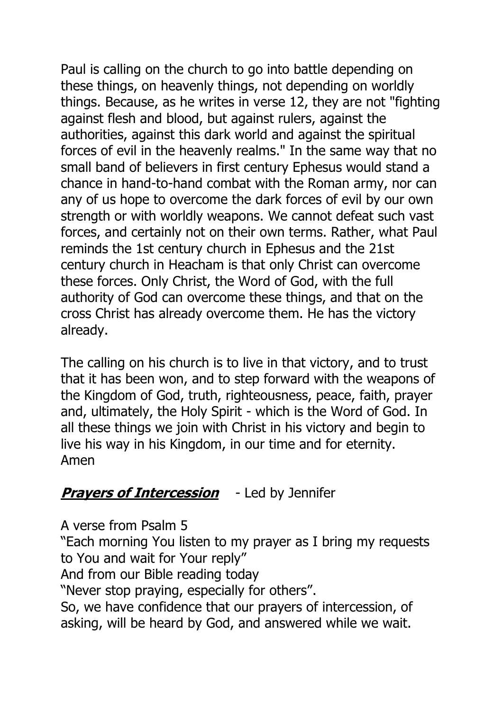Paul is calling on the church to go into battle depending on these things, on heavenly things, not depending on worldly things. Because, as he writes in verse 12, they are not "fighting against flesh and blood, but against rulers, against the authorities, against this dark world and against the spiritual forces of evil in the heavenly realms." In the same way that no small band of believers in first century Ephesus would stand a chance in hand-to-hand combat with the Roman army, nor can any of us hope to overcome the dark forces of evil by our own strength or with worldly weapons. We cannot defeat such vast forces, and certainly not on their own terms. Rather, what Paul reminds the 1st century church in Ephesus and the 21st century church in Heacham is that only Christ can overcome these forces. Only Christ, the Word of God, with the full authority of God can overcome these things, and that on the cross Christ has already overcome them. He has the victory already.

The calling on his church is to live in that victory, and to trust that it has been won, and to step forward with the weapons of the Kingdom of God, truth, righteousness, peace, faith, prayer and, ultimately, the Holy Spirit - which is the Word of God. In all these things we join with Christ in his victory and begin to live his way in his Kingdom, in our time and for eternity. Amen

# **Prayers of Intercession** - Led by Jennifer

A verse from Psalm 5

"Each morning You listen to my prayer as I bring my requests to You and wait for Your reply"

And from our Bible reading today

"Never stop praying, especially for others".

So, we have confidence that our prayers of intercession, of asking, will be heard by God, and answered while we wait.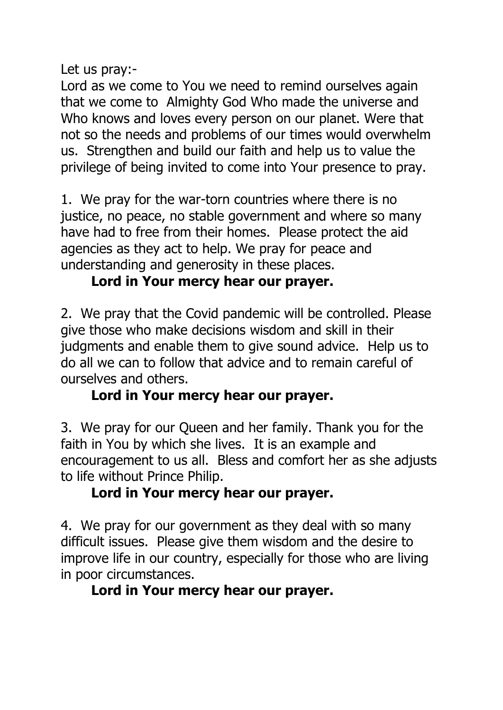Let us pray:-

Lord as we come to You we need to remind ourselves again that we come to Almighty God Who made the universe and Who knows and loves every person on our planet. Were that not so the needs and problems of our times would overwhelm us. Strengthen and build our faith and help us to value the privilege of being invited to come into Your presence to pray.

1. We pray for the war-torn countries where there is no justice, no peace, no stable government and where so many have had to free from their homes. Please protect the aid agencies as they act to help. We pray for peace and understanding and generosity in these places.

# **Lord in Your mercy hear our prayer.**

2. We pray that the Covid pandemic will be controlled. Please give those who make decisions wisdom and skill in their judgments and enable them to give sound advice. Help us to do all we can to follow that advice and to remain careful of ourselves and others.

# **Lord in Your mercy hear our prayer.**

3. We pray for our Queen and her family. Thank you for the faith in You by which she lives. It is an example and encouragement to us all. Bless and comfort her as she adjusts to life without Prince Philip.

# **Lord in Your mercy hear our prayer.**

4. We pray for our government as they deal with so many difficult issues. Please give them wisdom and the desire to improve life in our country, especially for those who are living in poor circumstances.

# **Lord in Your mercy hear our prayer.**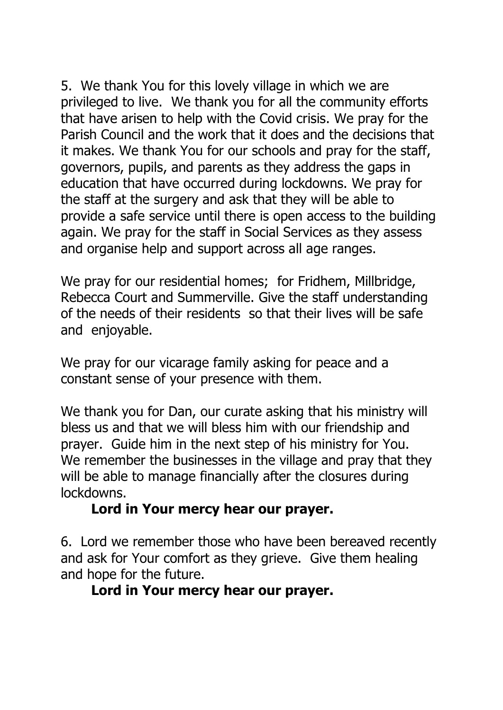5. We thank You for this lovely village in which we are privileged to live. We thank you for all the community efforts that have arisen to help with the Covid crisis. We pray for the Parish Council and the work that it does and the decisions that it makes. We thank You for our schools and pray for the staff, governors, pupils, and parents as they address the gaps in education that have occurred during lockdowns. We pray for the staff at the surgery and ask that they will be able to provide a safe service until there is open access to the building again. We pray for the staff in Social Services as they assess and organise help and support across all age ranges.

We pray for our residential homes; for Fridhem, Millbridge, Rebecca Court and Summerville. Give the staff understanding of the needs of their residents so that their lives will be safe and enjoyable.

We pray for our vicarage family asking for peace and a constant sense of your presence with them.

We thank you for Dan, our curate asking that his ministry will bless us and that we will bless him with our friendship and prayer. Guide him in the next step of his ministry for You. We remember the businesses in the village and pray that they will be able to manage financially after the closures during lockdowns.

#### **Lord in Your mercy hear our prayer.**

6. Lord we remember those who have been bereaved recently and ask for Your comfort as they grieve. Give them healing and hope for the future.

#### **Lord in Your mercy hear our prayer.**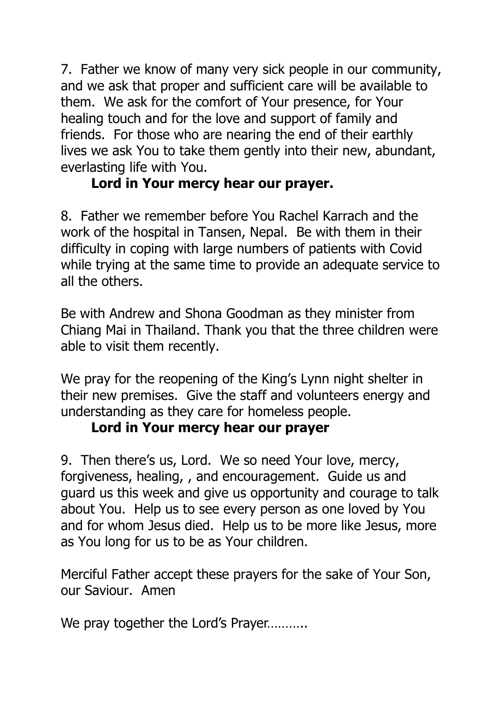7. Father we know of many very sick people in our community, and we ask that proper and sufficient care will be available to them. We ask for the comfort of Your presence, for Your healing touch and for the love and support of family and friends. For those who are nearing the end of their earthly lives we ask You to take them gently into their new, abundant, everlasting life with You.

# **Lord in Your mercy hear our prayer.**

8. Father we remember before You Rachel Karrach and the work of the hospital in Tansen, Nepal. Be with them in their difficulty in coping with large numbers of patients with Covid while trying at the same time to provide an adequate service to all the others.

Be with Andrew and Shona Goodman as they minister from Chiang Mai in Thailand. Thank you that the three children were able to visit them recently.

We pray for the reopening of the King's Lynn night shelter in their new premises. Give the staff and volunteers energy and understanding as they care for homeless people.

# **Lord in Your mercy hear our prayer**

9. Then there's us, Lord. We so need Your love, mercy, forgiveness, healing, , and encouragement. Guide us and guard us this week and give us opportunity and courage to talk about You. Help us to see every person as one loved by You and for whom Jesus died. Help us to be more like Jesus, more as You long for us to be as Your children.

Merciful Father accept these prayers for the sake of Your Son, our Saviour. Amen

We pray together the Lord's Prayer..........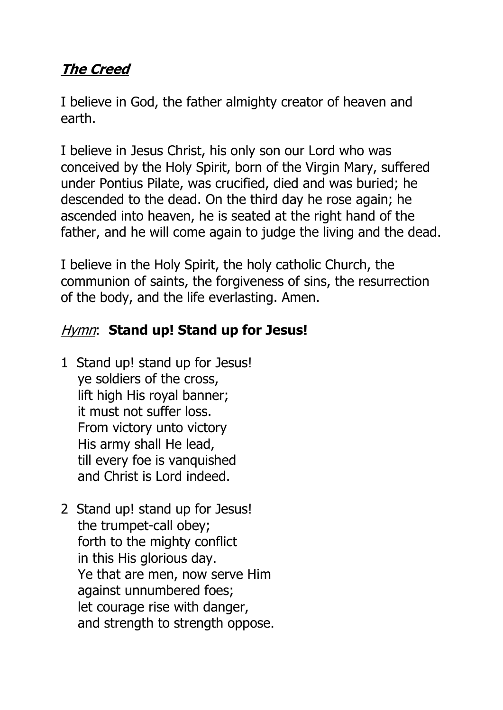# **The Creed**

I believe in God, the father almighty creator of heaven and earth.

I believe in Jesus Christ, his only son our Lord who was conceived by the Holy Spirit, born of the Virgin Mary, suffered under Pontius Pilate, was crucified, died and was buried; he descended to the dead. On the third day he rose again; he ascended into heaven, he is seated at the right hand of the father, and he will come again to judge the living and the dead.

I believe in the Holy Spirit, the holy catholic Church, the communion of saints, the forgiveness of sins, the resurrection of the body, and the life everlasting. Amen.

# Hymn: **Stand up! Stand up for Jesus!**

- 1 Stand up! stand up for Jesus! ye soldiers of the cross, lift high His royal banner; it must not suffer loss. From victory unto victory His army shall He lead, till every foe is vanquished and Christ is Lord indeed.
- 2 Stand up! stand up for Jesus! the trumpet-call obey; forth to the mighty conflict in this His glorious day. Ye that are men, now serve Him against unnumbered foes; let courage rise with danger, and strength to strength oppose.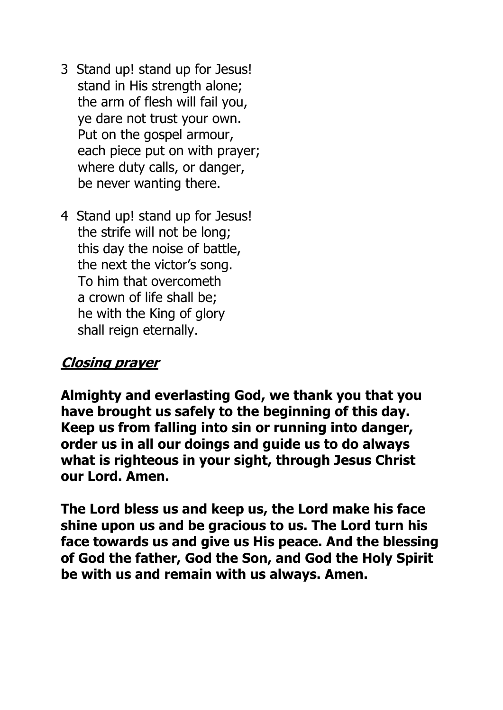- 3 Stand up! stand up for Jesus! stand in His strength alone; the arm of flesh will fail you, ye dare not trust your own. Put on the gospel armour, each piece put on with prayer; where duty calls, or danger, be never wanting there.
- 4 Stand up! stand up for Jesus! the strife will not be long; this day the noise of battle, the next the victor's song. To him that overcometh a crown of life shall be; he with the King of glory shall reign eternally.

# **Closing prayer**

**Almighty and everlasting God, we thank you that you have brought us safely to the beginning of this day. Keep us from falling into sin or running into danger, order us in all our doings and guide us to do always what is righteous in your sight, through Jesus Christ our Lord. Amen.**

**The Lord bless us and keep us, the Lord make his face shine upon us and be gracious to us. The Lord turn his face towards us and give us His peace. And the blessing of God the father, God the Son, and God the Holy Spirit be with us and remain with us always. Amen.**